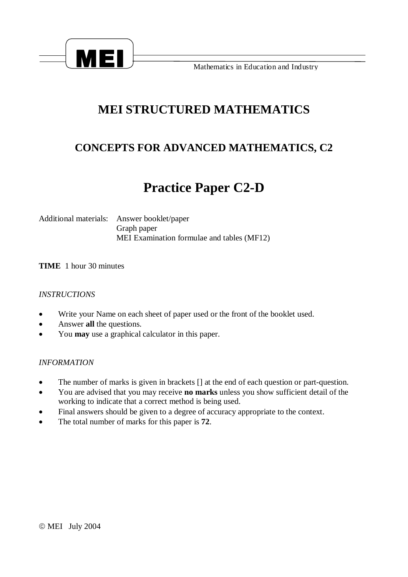

**Mathematics in Education and Industry** 

## **MEI STRUCTURED MATHEMATICS**

### **CONCEPTS FOR ADVANCED MATHEMATICS, C2**

# **Practice Paper C2-D**

Additional materials: Answer booklet/paper Graph paper MEI Examination formulae and tables (MF12)

**TIME** 1 hour 30 minutes

#### *INSTRUCTIONS*

- · Write your Name on each sheet of paper used or the front of the booklet used.
- · Answer **all** the questions.
- · You **may** use a graphical calculator in this paper.

#### *INFORMATION*

- · The number of marks is given in brackets [] at the end of each question or part-question.
- · You are advised that you may receive **no marks** unless you show sufficient detail of the working to indicate that a correct method is being used.
- · Final answers should be given to a degree of accuracy appropriate to the context.
- · The total number of marks for this paper is **72**.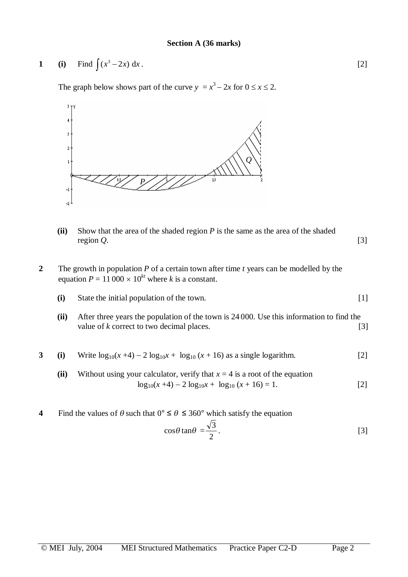1 (i) Find 
$$
\int (x^3 - 2x) dx
$$
. [2]

The graph below shows part of the curve  $y = x^3 - 2x$  for  $0 \le x \le 2$ .



- **(ii)** Show that the area of the shaded region *P* is the same as the area of the shaded region *Q*. [3]
- **2** The growth in population *P* of a certain town after time *t* years can be modelled by the equation  $P = 11000 \times 10^{kt}$  where *k* is a constant.
	- **(i)** State the initial population of the town. [1]
	- **(ii)** After three years the population of the town is 24 000. Use this information to find the value of *k* correct to two decimal places. [3]

3 (i) Write 
$$
log_{10}(x+4) - 2 log_{10}x + log_{10}(x+16)
$$
 as a single logarithm. [2]

- (ii) Without using your calculator, verify that  $x = 4$  is a root of the equation  $\log_{10}(x+4) - 2 \log_{10}x + \log_{10}(x+16) = 1.$  [2]
- **4** Find the values of  $\theta$  such that  $0^{\circ} \le \theta \le 360^{\circ}$  which satisfy the equation

$$
\cos\theta\tan\theta = \frac{\sqrt{3}}{2}.
$$
 [3]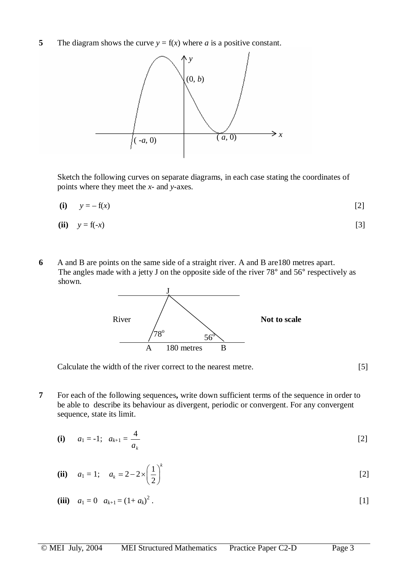**5** The diagram shows the curve  $y = f(x)$  where *a* is a positive constant.



Sketch the following curves on separate diagrams, in each case stating the coordinates of points where they meet the *x*- and *y*-axes.

(i) 
$$
y = -f(x)
$$
 [2]

$$
(ii) \quad y = f(-x) \tag{3}
$$

**6** A and B are points on the same side of a straight river. A and B are180 metres apart. The angles made with a jetty J on the opposite side of the river 78° and 56° respectively as shown.



Calculate the width of the river correct to the nearest metre. [5]

**7** For each of the following sequences**,** write down sufficient terms of the sequence in order to be able to describe its behaviour as divergent, periodic or convergent. For any convergent sequence, state its limit.

(i) 
$$
a_1 = -1; a_{k+1} = \frac{4}{a_k}
$$
 [2]

(ii) 
$$
a_1 = 1
$$
;  $a_k = 2 - 2 \times \left(\frac{1}{2}\right)^k$  [2]

(iii) 
$$
a_1 = 0
$$
  $a_{k+1} = (1 + a_k)^2$ . [1]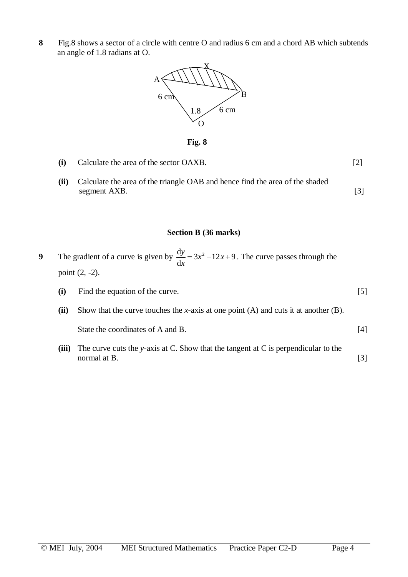**8** Fig.8 shows a sector of a circle with centre O and radius 6 cm and a chord AB which subtends an angle of 1.8 radians at O.



**Fig. 8** 

- **(i)** Calculate the area of the sector OAXB. [2]
- **(ii)** Calculate the area of the triangle OAB and hence find the area of the shaded segment AXB. [3]

#### **Section B (36 marks)**

**9** The gradient of a curve is given by  $\frac{dy}{dx} = 3x^2 - 12x + 9$ d  $\frac{y}{x} = 3x^2 - 12x$ *x*  $= 3x^2 - 12x + 9$ . The curve passes through the point (2, -2).

- **(i)** Find the equation of the curve. [5]
- **(ii)** Show that the curve touches the *x*-axis at one point (A) and cuts it at another (B). State the coordinates of A and B. [4]
- **(iii)** The curve cuts the *y*-axis at C. Show that the tangent at C is perpendicular to the normal at B. [3]